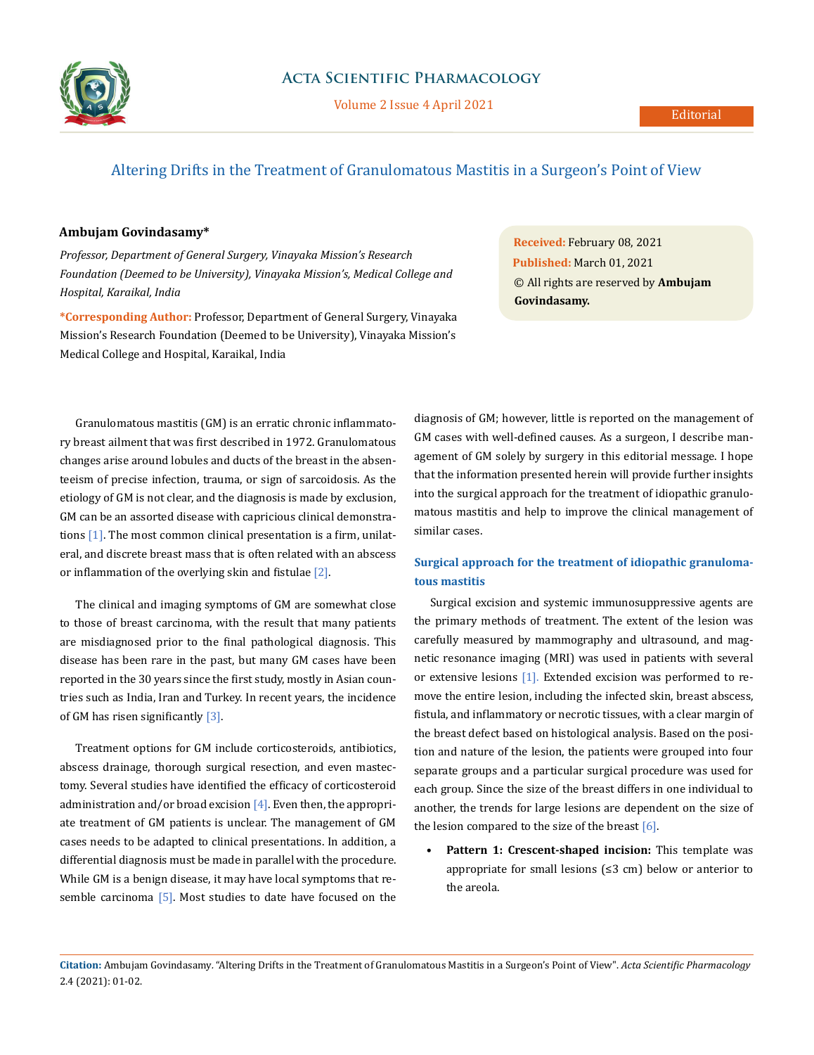

# Altering Drifts in the Treatment of Granulomatous Mastitis in a Surgeon's Point of View

#### **Ambujam Govindasamy\***

*Professor, Department of General Surgery, Vinayaka Mission's Research Foundation (Deemed to be University), Vinayaka Mission's, Medical College and Hospital, Karaikal, India*

**\*Corresponding Author:** Professor, Department of General Surgery, Vinayaka Mission's Research Foundation (Deemed to be University), Vinayaka Mission's Medical College and Hospital, Karaikal, India

**Received:** February 08, 2021 **Published:** March 01, 2021 © All rights are reserved by **Ambujam Govindasamy.**

Granulomatous mastitis (GM) is an erratic chronic inflammatory breast ailment that was first described in 1972. Granulomatous changes arise around lobules and ducts of the breast in the absenteeism of precise infection, trauma, or sign of sarcoidosis. As the etiology of GM is not clear, and the diagnosis is made by exclusion, GM can be an assorted disease with capricious clinical demonstrations [1]. The most common clinical presentation is a firm, unilateral, and discrete breast mass that is often related with an abscess or inflammation of the overlying skin and fistulae [2].

The clinical and imaging symptoms of GM are somewhat close to those of breast carcinoma, with the result that many patients are misdiagnosed prior to the final pathological diagnosis. This disease has been rare in the past, but many GM cases have been reported in the 30 years since the first study, mostly in Asian countries such as India, Iran and Turkey. In recent years, the incidence of GM has risen significantly [3].

Treatment options for GM include corticosteroids, antibiotics, abscess drainage, thorough surgical resection, and even mastectomy. Several studies have identified the efficacy of corticosteroid administration and/or broad excision  $[4]$ . Even then, the appropriate treatment of GM patients is unclear. The management of GM cases needs to be adapted to clinical presentations. In addition, a differential diagnosis must be made in parallel with the procedure. While GM is a benign disease, it may have local symptoms that resemble carcinoma [5]. Most studies to date have focused on the diagnosis of GM; however, little is reported on the management of GM cases with well-defined causes. As a surgeon, I describe management of GM solely by surgery in this editorial message. I hope that the information presented herein will provide further insights into the surgical approach for the treatment of idiopathic granulomatous mastitis and help to improve the clinical management of similar cases.

## **Surgical approach for the treatment of idiopathic granulomatous mastitis**

Surgical excision and systemic immunosuppressive agents are the primary methods of treatment. The extent of the lesion was carefully measured by mammography and ultrasound, and magnetic resonance imaging (MRI) was used in patients with several or extensive lesions [1]. Extended excision was performed to remove the entire lesion, including the infected skin, breast abscess, fistula, and inflammatory or necrotic tissues, with a clear margin of the breast defect based on histological analysis. Based on the position and nature of the lesion, the patients were grouped into four separate groups and a particular surgical procedure was used for each group. Since the size of the breast differs in one individual to another, the trends for large lesions are dependent on the size of the lesion compared to the size of the breast  $[6]$ .

**• Pattern 1: Crescent-shaped incision:** This template was appropriate for small lesions (≤3 cm) below or anterior to the areola.

**Citation:** Ambujam Govindasamy*.* "Altering Drifts in the Treatment of Granulomatous Mastitis in a Surgeon's Point of View". *Acta Scientific Pharmacology*  2.4 (2021): 01-02.